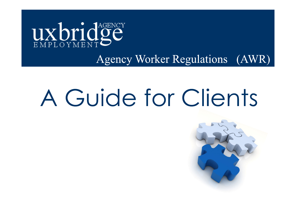

## **Agency Worker Regulations (AWR)**

# A Guide for Clients

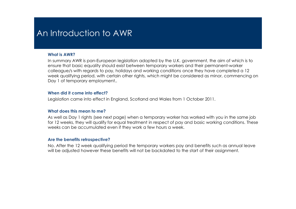### An Introduction to AWR

#### What is AWR?

 In summary AWR is pan-European legislation adopted by the U.K. government, the aim of which is to ensure that basic equality should exist between temporary workers and their permanent-worker colleague/s with regards to pay, holidays and working conditions once they have completed a 12 week qualifying period, with certain other rights, which might be considered as minor, commencing on Day 1 of temporary employment...

#### When did it come into effect?

Legislation came into effect in England, Scotland and Wales from 1 October 2011.

#### What does this mean to me?

 As well as Day 1 rights (see next page) when a temporary worker has worked with you in the same job for 12 weeks, they will qualify for equal treatment in respect of pay and basic working conditions. These weeks can be accumulated even if they work a few hours a week.

#### Are the benefits retrospective?

 No. After the 12 week qualifying period the temporary workers pay and benefits such as annual leave will be adjusted however these benefits will not be backdated to the start of their assignment.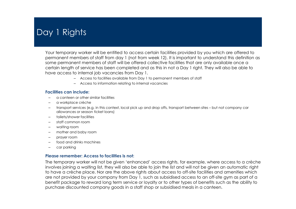### Day 1 Rights

Your temporary worker will be entitled to access certain facilities provided by you which are offered to permanent members of staff from day 1 (not from week 12). It is important to understand this definition as some permanent members of staff will be offered collective facilities that are only available once a certain length of service has been completed and as this in not a Day 1 right. They will also be able to have access to internal job vacancies from Day 1.

- Access to facilities available from Day 1 to permanent members of staff
- Access to information relating to internal vacancies

#### Facilities can include:

- a canteen or other similar facilities
- a workplace crèche
- transport services (e.g. in this context, local pick up and drop offs, transport between sites but not company car allowances or season ticket loans)
- toilets/shower facilities
- staff common room
- waiting room
- mother and baby room
- prayer room
- food and drinks machines
- car parking

### Please remember: Access to facilities is not:

The temporary worker will not be given 'enhanced' access rights, for example, where access to a crèche involves joining a waiting list, they will also be able to join the list and will not be given an automatic right to have a crèche place. Nor are the above rights about access to off-site facilities and amenities which are not provided by your company from Day 1, such as subsidised access to an off-site gym as part of a benefit package to reward long term service or loyalty or to other types of benefits such as the ability to purchase discounted company goods in a staff shop or subsidised meals in a canteen.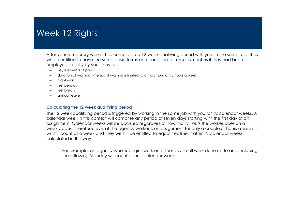### Week 12 Rights

After your temporary worker has completed a 12 week qualifying period with you, in the same role, theywill be entitled to have the same basic terms and conditions of employment as if they had been employed directly by you. They are;

- –key elements of pay
- duration of working time e.g. if working is limited to a maximum of 48 hours a week
- night work
- rest periods
- rest breaks
- annual leave

#### Calculating the 12 week qualifying period

The 12 week qualifying period is triggered by working in the same job with you for 12 calendar weeks. A calendar week in this context will comprise any period of seven days starting with the first day of anassignment. Calendar weeks will be accrued regardless of how many hours the worker does on a weekly basis. Therefore, even if the agency worker is on assignment for only a couple of hours a week, it will still count as a week and they will still be entitled to equal treatment after 12 calendar weeks calculated in this way.

For example, an agency worker begins work on a Tuesday so all work done up to and including the following Monday will count as one calendar week.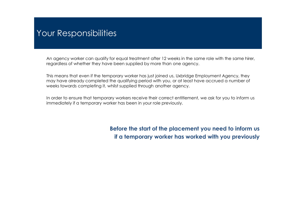### Your Responsibilities

An agency worker can qualify for equal treatment after 12 weeks in the same role with the same hirer, regardless of whether they have been supplied by more than one agency.

This means that even if the temporary worker has just joined us, Uxbridge Employment Agency, they may have already completed the qualifying period with you, or at least have accrued a number of weeks towards completing it, whilst supplied through another agency.

In order to ensure that temporary workers receive their correct entitlement, we ask for you to inform us immediately if a temporary worker has been in your role previously.

> Before the start of the placement you need to inform us if a temporary worker has worked with you previously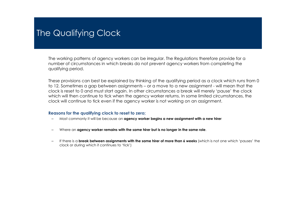### The Qualifying Clock

The working patterns of agency workers can be irregular. The Regulations therefore provide for a number of circumstances in which breaks do not prevent agency workers from completing the qualifying period.

These provisions can best be explained by thinking of the qualifying period as a clock which runs from 0 to 12. Sometimes a gap between assignments – or a move to a new assignment - will mean that the clock is reset to 0 and must start again. In other circumstances a break will merely 'pause' the clock which will then continue to tick when the agency worker returns. In some limited circumstances, the clock will continue to tick even if the agency worker is not working on an assignment.

#### Reasons for the qualifying clock to reset to zero;

- Most commonly it will be because an agency worker begins a new assignment with a new hirer
- Where an agency worker remains with the same hirer but is no longer in the same role.
- If there is a **break between assignments with the same hirer of more than 6 weeks** (which is not one which 'pauses' the clock or during which it continues to 'tick')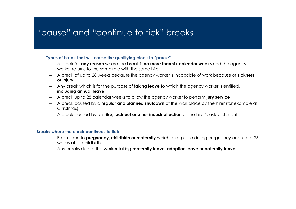### "pause" and "continue to tick" breaks

### Types of break that will cause the qualifying clock to "pause"

- A break for any reason where the break is no more than six calendar weeks and the agency worker returns to the same role with the same hirer
- A break of up to 28 weeks because the agency worker is incapable of work because of sickness or injury
- Any break which is for the purpose of **taking leave** to which the agency worker is entitled,  $\frac{1}{2}$ including annual leave
- A break up to 28 calendar weeks to allow the agency worker to perform jury service
- A break caused by a **regular and planned shutdown** of the workplace by the hirer (for example at Christmas)
- A break caused by a strike, lock out or other industrial action at the hirer's establishment

### Breaks where the clock continues to tick

- Breaks due to **pregnancy, childbirth or maternity** which take place during pregnancy and up to 26 weeks after childbirth.
- –Any breaks due to the worker taking maternity leave, adoption leave or paternity leave.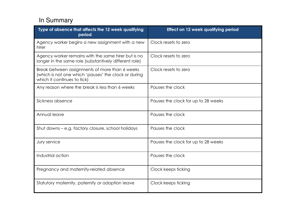### In Summary

| Type of absence that affects the 12 week qualifying<br>period                                                                         | Effect on 12 week qualifying period |
|---------------------------------------------------------------------------------------------------------------------------------------|-------------------------------------|
| Agency worker begins a new assignment with a new<br>hirer                                                                             | Clock resets to zero                |
| Agency worker remains with the same hirer but is no<br>longer in the same role (substantively different role)                         | Clock resets to zero                |
| Break between assignments of more than 6 weeks<br>(which is not one which 'pauses' the clock or during<br>which it continues to tick) | Clock resets to zero                |
| Any reason where the break is less than 6 weeks                                                                                       | Pauses the clock                    |
| Sickness absence                                                                                                                      | Pauses the clock for up to 28 weeks |
| Annual leave                                                                                                                          | Pauses the clock                    |
| Shut downs - e.g. factory closure, school holidays                                                                                    | Pauses the clock                    |
| Jury service                                                                                                                          | Pauses the clock for up to 28 weeks |
| Industrial action                                                                                                                     | Pauses the clock                    |
| Pregnancy and maternity-related absence                                                                                               | Clock keeps ticking                 |
| Statutory maternity, paternity or adoption leave                                                                                      | Clock keeps ticking                 |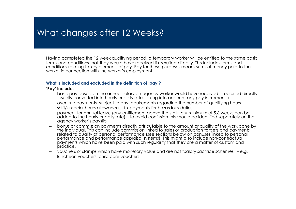### What changes after 12 Weeks?

Having completed the 12 week qualifying period, a temporary worker will be entitled to the same basic terms and conditions that they would have received if recruited directly. This includes terms and conditions relating to key elements of pay. Pay for these purposes means sums of money paid to the worker in connection with the worker's employment.

#### What is included and excluded in the definition of 'pay'?

#### 'Pay' includes

- basic pay based on the annual salary an agency worker would have received if recruited directly (usually converted into hourly or daily rate, taking into account any pay increments) –
- overtime payments, subject to any requirements regarding the number of qualifying hours
- shift/unsocial hours allowances, risk payments for hazardous duties
- – payment for annual leave (any entitlement above the statutory minimum of 5.6 weeks can be added to the hourly or daily rate) – to avoid confusion this should be identified separately on the<br>adency worker's payslip agency worker's payslip
- bonus or commission payments directly attributable to the amount or quality of the work done by –the individual. This can include commission linked to sales or production targets and payments related to quality of personal performance (see sections below on bonuses linked to personal performance and performance appraisal systems). This might also include non-contractual payments which have been paid with such regularity that they are a matter of custom and practice.
- vouchers or stamps which have monetary value and are not "salary sacrifice schemes" e.g. –luncheon vouchers, child care vouchers